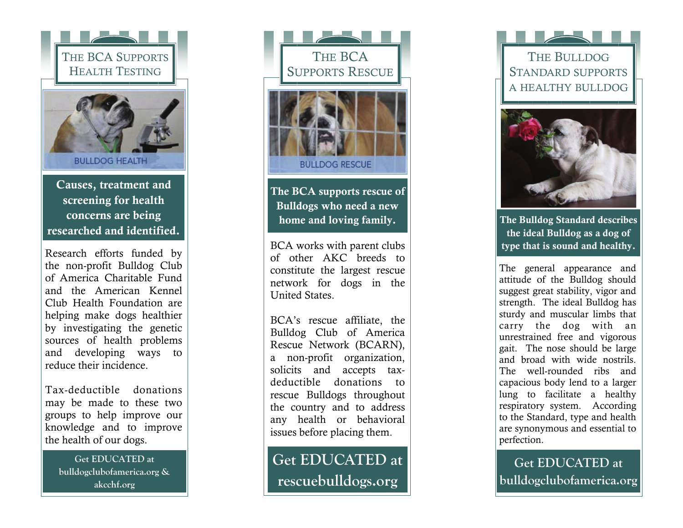

Causes, treatment and screening for health concerns are being researched and identified.

Research efforts funded by the non-profit Bulldog Club of America Charitable Fund and the American Kennel Club Health Foundation are helping make dogs healthier by investigating the genetic sources of health problems and developing ways to reduce their incidence.

Tax-deductible donations may be made to these two groups to help improve our knowledge and to improve the health of our dogs.

> **Get EDUCATED at bulldogclubofamerica.org & akcchf.org**



The BCA supports rescue of Bulldogs who need a new home and loving family.

BCA works with parent clubs of other AKC breeds to constitute the largest rescue network for dogs in the United States.

BCA's rescue affiliate, the Bulldog Club of America Rescue Network (BCARN), a non-profit organization, solicits and accepts taxdeductible donations to rescue Bulldogs throughout the country and to address any health or behavioral issues before placing them.

**Get EDUCATED at rescuebulldogs.org**

THE BULLDOG STANDARD SUPPORTS A HEALTHY BULLDOG



The Bulldog Standard describes the ideal Bulldog as a dog of type that is sound and healthy.

The general appearance and attitude of the Bulldog should suggest great stability, vigor and strength. The ideal Bulldog has sturdy and muscular limbs that carry the dog with an unrestrained free and vigorous gait. The nose should be large and broad with wide nostrils. The well-rounded ribs and capacious body lend to a larger lung to facilitate a healthy respiratory system. According to the Standard, type and health are synonymous and essential to perfection.

**Get EDUCATED at bulldogclubofamerica.org**